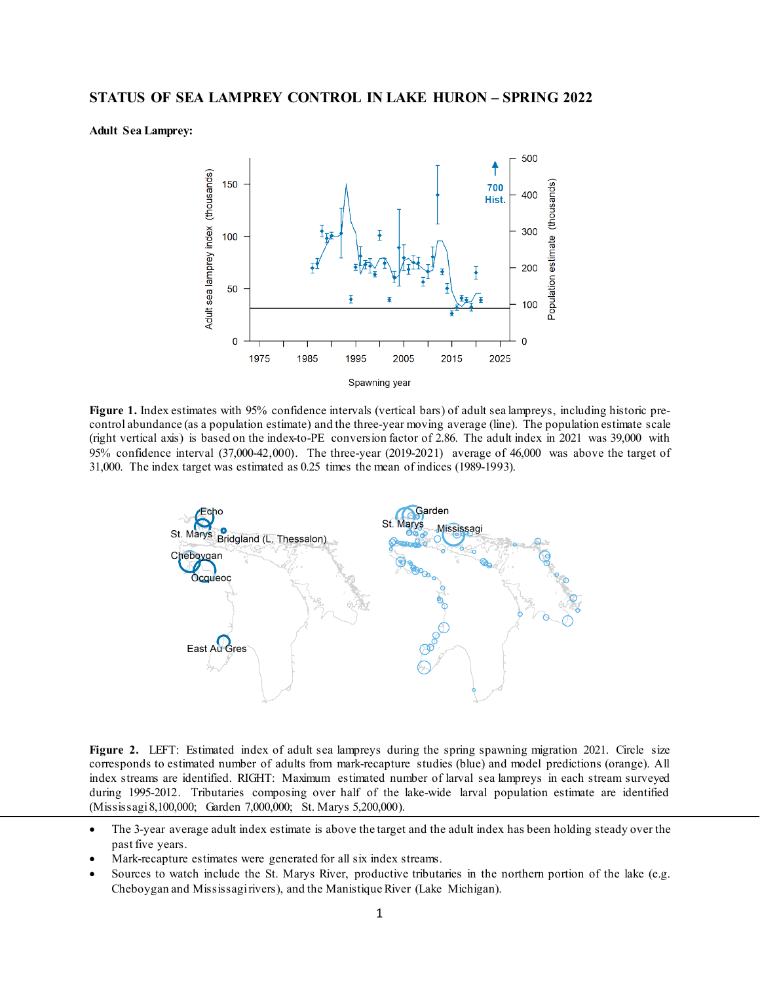**Adult Sea Lamprey:**



**Figure 1.** Index estimates with 95% confidence intervals (vertical bars) of adult sea lampreys, including historic precontrol abundance (as a population estimate) and the three-year moving average (line). The population estimate scale (right vertical axis) is based on the index-to-PE conversion factor of 2.86. The adult index in 2021 was 39,000 with 95% confidence interval (37,000-42,000). The three-year (2019-2021) average of 46,000 was above the target of 31,000. The index target was estimated as 0.25 times the mean of indices (1989-1993).



**Figure 2.** LEFT: Estimated index of adult sea lampreys during the spring spawning migration 2021. Circle size corresponds to estimated number of adults from mark-recapture studies (blue) and model predictions (orange). All index streams are identified. RIGHT: Maximum estimated number of larval sea lampreys in each stream surveyed during 1995-2012. Tributaries composing over half of the lake-wide larval population estimate are identified (Mississagi 8,100,000; Garden 7,000,000; St. Marys 5,200,000).

- The 3-year average adult index estimate is above the target and the adult index has been holding steady over the past five years.
- Mark-recapture estimates were generated for all six index streams.
- Sources to watch include the St. Marys River, productive tributaries in the northern portion of the lake (e.g. Cheboygan and Mississagi rivers), and the Manistique River (Lake Michigan).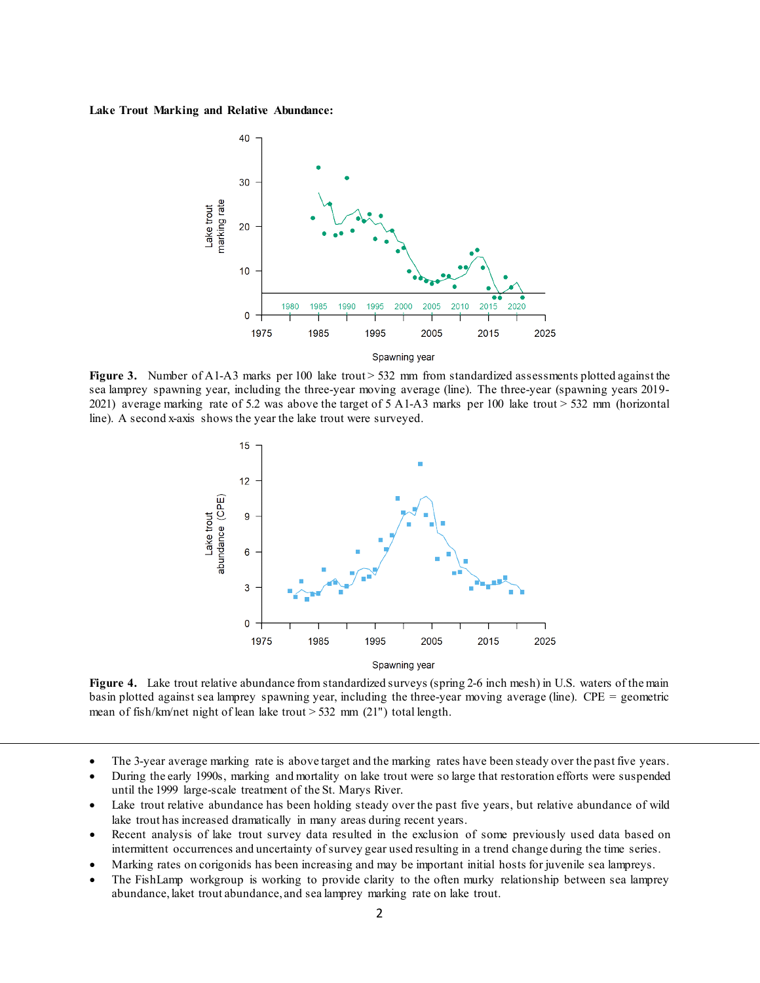## **Lake Trout Marking and Relative Abundance:**



**Figure 3.** Number of A1-A3 marks per 100 lake trout > 532 mm from standardized assessments plotted against the sea lamprey spawning year, including the three-year moving average (line). The three-year (spawning years 2019- 2021) average marking rate of 5.2 was above the target of 5 A1-A3 marks per 100 lake trout > 532 mm (horizontal line). A second x-axis shows the year the lake trout were surveyed.



**Figure 4.** Lake trout relative abundance from standardized surveys (spring 2-6 inch mesh) in U.S. waters of the main basin plotted against sea lamprey spawning year, including the three-year moving average (line). CPE = geometric mean of fish/km/net night of lean lake trout  $> 532$  mm (21") total length.

- The 3-year average marking rate is above target and the marking rates have been steady over the past five years.
- During the early 1990s, marking and mortality on lake trout were so large that restoration efforts were suspended until the 1999 large-scale treatment of the St. Marys River.
- Lake trout relative abundance has been holding steady over the past five years, but relative abundance of wild lake trout has increased dramatically in many areas during recent years.
- Recent analysis of lake trout survey data resulted in the exclusion of some previously used data based on intermittent occurrences and uncertainty of survey gear used resulting in a trend change during the time series.
- Marking rates on corigonids has been increasing and may be important initial hosts for juvenile sea lampreys.
- The FishLamp workgroup is working to provide clarity to the often murky relationship between sea lamprey abundance, laket trout abundance, and sea lamprey marking rate on lake trout.